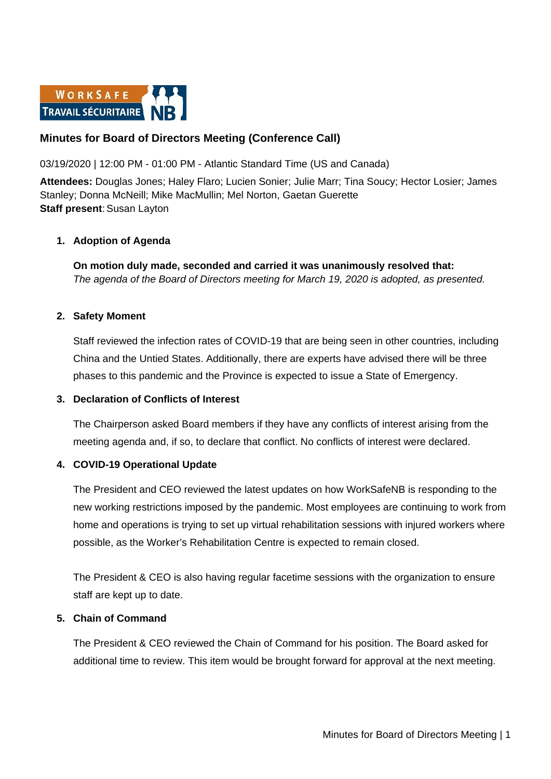

# **Minutes for Board of Directors Meeting (Conference Call)**

03/19/2020 | 12:00 PM - 01:00 PM - Atlantic Standard Time (US and Canada)

**Attendees:** Douglas Jones; Haley Flaro; Lucien Sonier; Julie Marr; Tina Soucy; Hector Losier; James Stanley; Donna McNeill; Mike MacMullin; Mel Norton, Gaetan Guerette **Staff present: Susan Layton** 

### **1. Adoption of Agenda**

**On motion duly made, seconded and carried it was unanimously resolved that:** *The agenda of the Board of Directors meeting for March 19, 2020 is adopted, as presented.*

### **2. Safety Moment**

Staff reviewed the infection rates of COVID-19 that are being seen in other countries, including China and the Untied States. Additionally, there are experts have advised there will be three phases to this pandemic and the Province is expected to issue a State of Emergency.

### **3. Declaration of Conflicts of Interest**

The Chairperson asked Board members if they have any conflicts of interest arising from the meeting agenda and, if so, to declare that conflict. No conflicts of interest were declared.

### **4. COVID-19 Operational Update**

The President and CEO reviewed the latest updates on how WorkSafeNB is responding to the new working restrictions imposed by the pandemic. Most employees are continuing to work from home and operations is trying to set up virtual rehabilitation sessions with injured workers where possible, as the Worker's Rehabilitation Centre is expected to remain closed.

The President & CEO is also having regular facetime sessions with the organization to ensure staff are kept up to date.

### **5. Chain of Command**

The President & CEO reviewed the Chain of Command for his position. The Board asked for additional time to review. This item would be brought forward for approval at the next meeting.